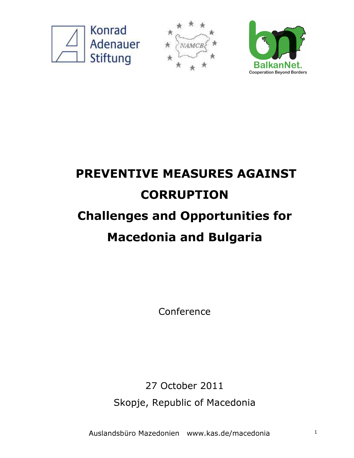





# PREVENTIVE MEASURES AGAINST **CORRUPTION** Challenges and Opportunities for Macedonia and Bulgaria

Conference

27 October 2011 Skopje, Republic of Macedonia

Auslandsbüro Mazedonien www.kas.de/macedonia 1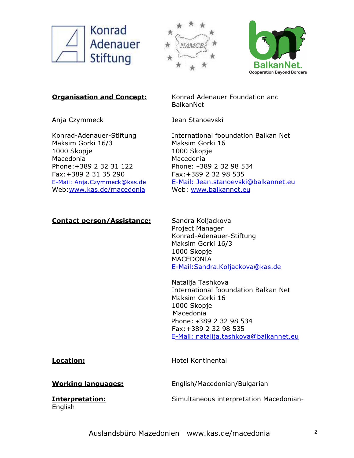





**Organisation and Concept:** Konrad Adenauer Foundation and BalkanNet

Anja Czymmeck Jean Stanoevski

Maksim Gorki 16/3 Maksim Gorki 16 1000 Skopje 1000 Skopje Macedonia Macedonia Phone:+389 2 32 31 122 Phone: +389 2 32 98 534 Fax:+389 2 31 35 290 Fax:+389 2 32 98 535 Web:www.kas.de/macedonia Web: www.balkannet.eu

#### Contact person/Assistance: Sandra Koljackova

Konrad-Adenauer-Stiftung International fooundation Balkan Net E-Mail: Anja.Czymmeck@kas.de E-Mail: Jean.stanoevski@balkannet.eu

> Project Manager Konrad-Adenauer-Stiftung Maksim Gorki 16/3 1000 Skopje MACEDONIA E-Mail:Sandra.Koljackova@kas.de

Natalija Tashkova International fooundation Balkan Net Maksim Gorki 16 1000 Skopje Macedonia Phone: +389 2 32 98 534 Fax:+389 2 32 98 535 E-Mail: natalija.tashkova@balkannet.eu

Location: **Hotel Kontinental** 

Working languages: English/Macedonian/Bulgarian

English

**Interpretation:** Simultaneous interpretation Macedonian-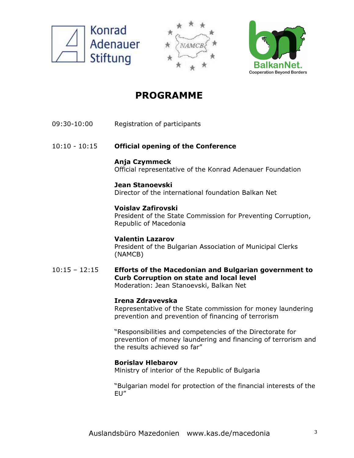





## PROGRAMME

- 09:30-10:00 Registration of participants
- 10:10 10:15 Official opening of the Conference
	- Anja Czymmeck Official representative of the Konrad Adenauer Foundation

### Jean Stanoevski

Director of the international foundation Balkan Net

### Voislav Zafirovski

President of the State Commission for Preventing Corruption, Republic of Macedonia

### Valentin Lazarov

President of the Bulgarian Association of Municipal Clerks (NAMCB)

10:15 – 12:15 Efforts of the Macedonian and Bulgarian government to Curb Corruption on state and local level Moderation: Jean Stanoevski, Balkan Net

#### Irena Zdravevska

Representative of the State commission for money laundering prevention and prevention of financing of terrorism

"Responsibilities and competencies of the Directorate for prevention of money laundering and financing of terrorism and the results achieved so far"

#### Borislav Hlebarov

Ministry of interior of the Republic of Bulgaria

"Bulgarian model for protection of the financial interests of the EU"